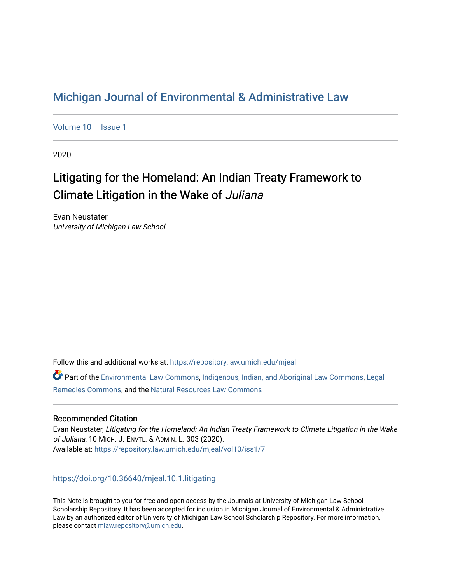## [Michigan Journal of Environmental & Administrative Law](https://repository.law.umich.edu/mjeal)

[Volume 10](https://repository.law.umich.edu/mjeal/vol10) | [Issue 1](https://repository.law.umich.edu/mjeal/vol10/iss1)

2020

# Litigating for the Homeland: An Indian Treaty Framework to Climate Litigation in the Wake of Juliana

Evan Neustater University of Michigan Law School

Follow this and additional works at: [https://repository.law.umich.edu/mjeal](https://repository.law.umich.edu/mjeal?utm_source=repository.law.umich.edu%2Fmjeal%2Fvol10%2Fiss1%2F7&utm_medium=PDF&utm_campaign=PDFCoverPages)

Part of the [Environmental Law Commons](http://network.bepress.com/hgg/discipline/599?utm_source=repository.law.umich.edu%2Fmjeal%2Fvol10%2Fiss1%2F7&utm_medium=PDF&utm_campaign=PDFCoverPages), [Indigenous, Indian, and Aboriginal Law Commons,](http://network.bepress.com/hgg/discipline/894?utm_source=repository.law.umich.edu%2Fmjeal%2Fvol10%2Fiss1%2F7&utm_medium=PDF&utm_campaign=PDFCoverPages) [Legal](http://network.bepress.com/hgg/discipline/618?utm_source=repository.law.umich.edu%2Fmjeal%2Fvol10%2Fiss1%2F7&utm_medium=PDF&utm_campaign=PDFCoverPages) [Remedies Commons,](http://network.bepress.com/hgg/discipline/618?utm_source=repository.law.umich.edu%2Fmjeal%2Fvol10%2Fiss1%2F7&utm_medium=PDF&utm_campaign=PDFCoverPages) and the [Natural Resources Law Commons](http://network.bepress.com/hgg/discipline/863?utm_source=repository.law.umich.edu%2Fmjeal%2Fvol10%2Fiss1%2F7&utm_medium=PDF&utm_campaign=PDFCoverPages) 

## Recommended Citation

Evan Neustater, Litigating for the Homeland: An Indian Treaty Framework to Climate Litigation in the Wake of Juliana, 10 MICH. J. ENVTL. & ADMIN. L. 303 (2020). Available at: [https://repository.law.umich.edu/mjeal/vol10/iss1/7](https://repository.law.umich.edu/mjeal/vol10/iss1/7?utm_source=repository.law.umich.edu%2Fmjeal%2Fvol10%2Fiss1%2F7&utm_medium=PDF&utm_campaign=PDFCoverPages)

<https://doi.org/10.36640/mjeal.10.1.litigating>

This Note is brought to you for free and open access by the Journals at University of Michigan Law School Scholarship Repository. It has been accepted for inclusion in Michigan Journal of Environmental & Administrative Law by an authorized editor of University of Michigan Law School Scholarship Repository. For more information, please contact [mlaw.repository@umich.edu.](mailto:mlaw.repository@umich.edu)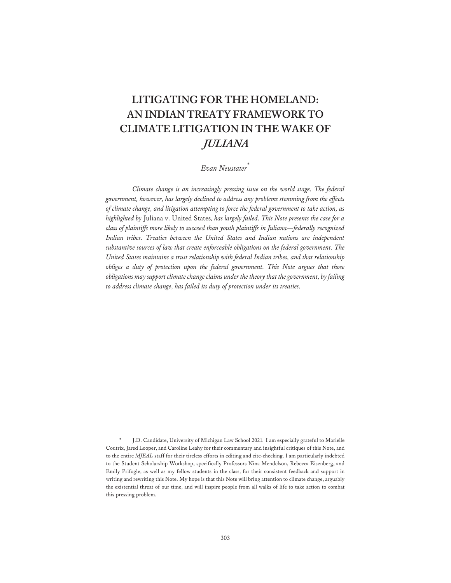## **LITIGATING FOR THE HOMELAND: AN INDIAN TREATY FRAMEWORK TO CLIMATE LITIGATION IN THE WAKE OF JULIANA**

## *Evan Neustater\**

*Climate change is an increasingly pressing issue on the world stage. The federal government, however, has largely declined to address any problems stemming from the effects of climate change, and litigation attempting to force the federal government to take action, as highlighted by* Juliana v. United States*, has largely failed. This Note presents the case for a class of plaintiffs more likely to succeed than youth plaintiffs in Juliana—federally recognized Indian tribes. Treaties between the United States and Indian nations are independent substantive sources of law that create enforceable obligations on the federal government. The United States maintains a trust relationship with federal Indian tribes, and that relationship obliges a duty of protection upon the federal government. This Note argues that those obligations may support climate change claims under the theory that the government, by failing to address climate change, has failed its duty of protection under its treaties.* 

J.D. Candidate, University of Michigan Law School 2021. I am especially grateful to Marielle Coutrix, Jared Looper, and Caroline Leahy for their commentary and insightful critiques of this Note, and to the entire *MJEAL* staff for their tireless efforts in editing and cite-checking. I am particularly indebted to the Student Scholarship Workshop, specifically Professors Nina Mendelson, Rebecca Eisenberg, and Emily Prifogle, as well as my fellow students in the class, for their consistent feedback and support in writing and rewriting this Note. My hope is that this Note will bring attention to climate change, arguably the existential threat of our time, and will inspire people from all walks of life to take action to combat this pressing problem.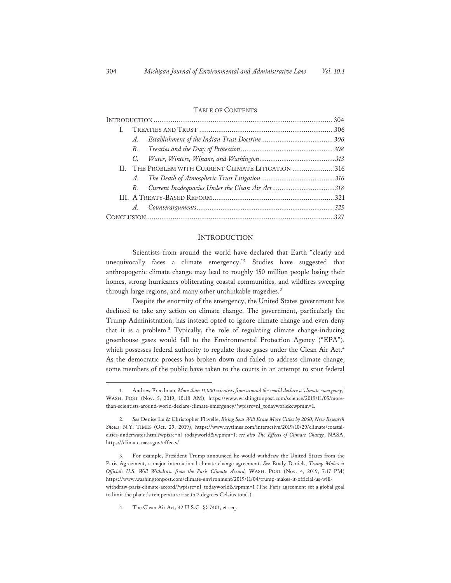#### TABLE OF CONTENTS

| L. |             |                                                     |  |
|----|-------------|-----------------------------------------------------|--|
|    | A.          |                                                     |  |
|    | B.          |                                                     |  |
|    | $C_{\cdot}$ |                                                     |  |
|    |             | II. THE PROBLEM WITH CURRENT CLIMATE LITIGATION 316 |  |
|    | $A$ .       |                                                     |  |
|    | B.          | Current Inadequacies Under the Clean Air Act318     |  |
|    |             |                                                     |  |
|    | A.          |                                                     |  |
|    |             |                                                     |  |
|    |             |                                                     |  |

#### **INTRODUCTION**

Scientists from around the world have declared that Earth "clearly and unequivocally faces a climate emergency."1 Studies have suggested that anthropogenic climate change may lead to roughly 150 million people losing their homes, strong hurricanes obliterating coastal communities, and wildfires sweeping through large regions, and many other unthinkable tragedies.<sup>2</sup>

Despite the enormity of the emergency, the United States government has declined to take any action on climate change. The government, particularly the Trump Administration, has instead opted to ignore climate change and even deny that it is a problem.3 Typically, the role of regulating climate change-inducing greenhouse gases would fall to the Environmental Protection Agency ("EPA"), which possesses federal authority to regulate those gases under the Clean Air Act.<sup>4</sup> As the democratic process has broken down and failed to address climate change, some members of the public have taken to the courts in an attempt to spur federal

<sup>1.</sup> Andrew Freedman, *More than 11,000 scientists from around the world declare a 'climate emergency*,' WASH. POST (Nov. 5, 2019, 10:18 AM), https://www.washingtonpost.com/science/2019/11/05/morethan-scientists-around-world-declare-climate-emergency/?wpisrc=nl\_todayworld&wpmm=1.

<sup>2.</sup> *See* Denise Lu & Christopher Flavelle, *Rising Seas Will Erase More Cities by 2050, New Research Shows*, N.Y. TIMES (Oct. 29, 2019), https://www.nytimes.com/interactive/2019/10/29/climate/coastalcities-underwater.html?wpisrc=nl\_todayworld&wpmm=1; *see also The Effects of Climate Change*, NASA, https://climate.nasa.gov/effects/.

<sup>3.</sup> For example, President Trump announced he would withdraw the United States from the Paris Agreement, a major international climate change agreement. *See* Brady Daniels, *Trump Makes it Official: U.S. Will Withdraw from the Paris Climate Accord,* WASH. POST (Nov. 4, 2019, 7:17 PM) https://www.washingtonpost.com/climate-environment/2019/11/04/trump-makes-it-official-us-willwithdraw-paris-climate-accord/?wpisrc=nl\_todayworld&wpmm=1 (The Paris agreement set a global goal to limit the planet's temperature rise to 2 degrees Celsius total.).

<sup>4.</sup> The Clean Air Act, 42 U.S.C. §§ 7401, et seq.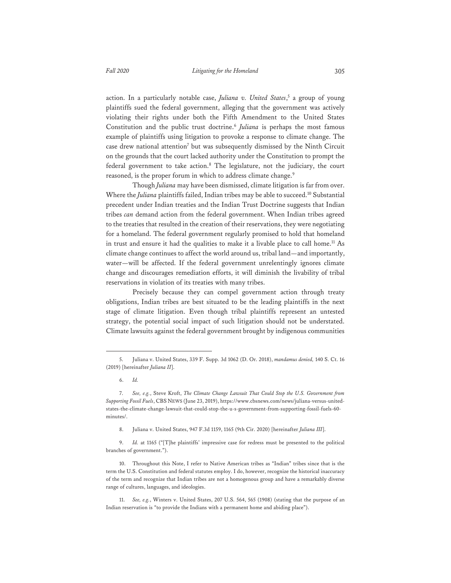action. In a particularly notable case, *Juliana v. United States*, 5 a group of young plaintiffs sued the federal government, alleging that the government was actively violating their rights under both the Fifth Amendment to the United States Constitution and the public trust doctrine.<sup>6</sup> *Juliana* is perhaps the most famous example of plaintiffs using litigation to provoke a response to climate change. The case drew national attention7 but was subsequently dismissed by the Ninth Circuit on the grounds that the court lacked authority under the Constitution to prompt the federal government to take action.8 The legislature, not the judiciary, the court reasoned, is the proper forum in which to address climate change.<sup>9</sup>

Though *Juliana* may have been dismissed, climate litigation is far from over. Where the *Juliana* plaintiffs failed, Indian tribes may be able to succeed.<sup>10</sup> Substantial precedent under Indian treaties and the Indian Trust Doctrine suggests that Indian tribes *can* demand action from the federal government. When Indian tribes agreed to the treaties that resulted in the creation of their reservations, they were negotiating for a homeland. The federal government regularly promised to hold that homeland in trust and ensure it had the qualities to make it a livable place to call home.<sup>11</sup> As climate change continues to affect the world around us, tribal land—and importantly, water—will be affected. If the federal government unrelentingly ignores climate change and discourages remediation efforts, it will diminish the livability of tribal reservations in violation of its treaties with many tribes.

Precisely because they can compel government action through treaty obligations, Indian tribes are best situated to be the leading plaintiffs in the next stage of climate litigation. Even though tribal plaintiffs represent an untested strategy, the potential social impact of such litigation should not be understated. Climate lawsuits against the federal government brought by indigenous communities

<sup>5.</sup> Juliana v. United States, 339 F. Supp. 3d 1062 (D. Or. 2018), *mandamus denied,* 140 S. Ct. 16 (2019) [hereinafter *Juliana II*].

<sup>6.</sup> *Id.*

<sup>7.</sup> *See, e.g.*, Steve Kroft, *The Climate Change Lawsuit That Could Stop the U.S. Government from Supporting Fossil Fuels*, CBS NEWS (June 23, 2019), https://www.cbsnews.com/news/juliana-versus-unitedstates-the-climate-change-lawsuit-that-could-stop-the-u-s-government-from-supporting-fossil-fuels-60 minutes/.

<sup>8.</sup> Juliana v. United States, 947 F.3d 1159, 1165 (9th Cir. 2020) [hereinafter *Juliana III*].

<sup>9.</sup> *Id.* at 1165 ("[T]he plaintiffs' impressive case for redress must be presented to the political branches of government.").

<sup>10.</sup> Throughout this Note, I refer to Native American tribes as "Indian" tribes since that is the term the U.S. Constitution and federal statutes employ. I do, however, recognize the historical inaccuracy of the term and recognize that Indian tribes are not a homogenous group and have a remarkably diverse range of cultures, languages, and ideologies.

<sup>11.</sup> *See, e.g.*, Winters v. United States, 207 U.S. 564, 565 (1908) (stating that the purpose of an Indian reservation is "to provide the Indians with a permanent home and abiding place").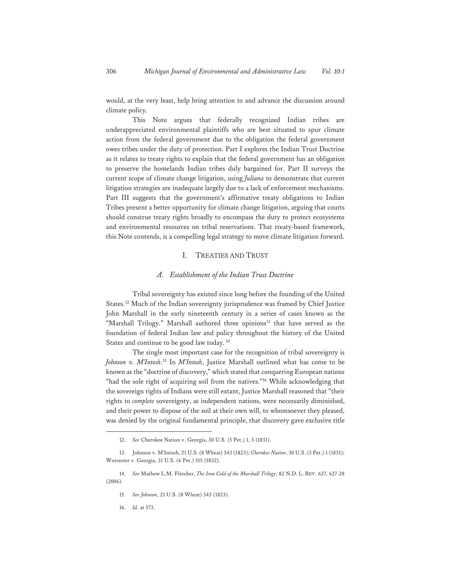would, at the very least, help bring attention to and advance the discussion around climate policy.

This Note argues that federally recognized Indian tribes are underappreciated environmental plaintiffs who are best situated to spur climate action from the federal government due to the obligation the federal government owes tribes under the duty of protection. Part I explores the Indian Trust Doctrine as it relates to treaty rights to explain that the federal government has an obligation to preserve the homelands Indian tribes duly bargained for. Part II surveys the current scope of climate change litigation, using *Juliana* to demonstrate that current litigation strategies are inadequate largely due to a lack of enforcement mechanisms. Part III suggests that the government's affirmative treaty obligations to Indian Tribes present a better opportunity for climate change litigation, arguing that courts should construe treaty rights broadly to encompass the duty to protect ecosystems and environmental resources on tribal reservations. That treaty-based framework, this Note contends, is a compelling legal strategy to move climate litigation forward.

#### I. TREATIES AND TRUST

#### *A. Establishment of the Indian Trust Doctrine*

Tribal sovereignty has existed since long before the founding of the United States.12 Much of the Indian sovereignty jurisprudence was framed by Chief Justice John Marshall in the early nineteenth century in a series of cases known as the "Marshall Trilogy." Marshall authored three opinions<sup>13</sup> that have served as the foundation of federal Indian law and policy throughout the history of the United States and continue to be good law today. 14

The single most important case for the recognition of tribal sovereignty is *Johnson v. M'Intosh*. 15 In *M'Intosh*, Justice Marshall outlined what has come to be known as the "doctrine of discovery," which stated that conquering European nations "had the sole right of acquiring soil from the natives."<sup>16</sup> While acknowledging that the sovereign rights of Indians were still extant, Justice Marshall reasoned that "their rights to *complete* sovereignty, as independent nations, were necessarily diminished, and their power to dispose of the soil at their own will, to whomsoever they pleased, was denied by the original fundamental principle, that discovery gave exclusive title

<sup>12.</sup> *See* Cherokee Nation v. Georgia, 30 U.S. (5 Pet.) 1, 3 (1831).

<sup>13.</sup> Johnson v. M'Intosh, 21 U.S. (8 Wheat) 543 (1823); *Cherokee Nation*, 30 U.S. (5 Pet.) 1 (1831); Worcester v. Georgia, 31 U.S. (6 Pet.) 515 (1832).

<sup>14.</sup> *See* Mathew L.M. Fletcher, *The Iron Cold of the Marshall Trilogy*, 82 N.D. L. REV. 627, 627-28 (2006).

<sup>15.</sup> *See Johnson*, 21 U.S. (8 Wheat) 543 (1823).

<sup>16.</sup> *Id.* at 573.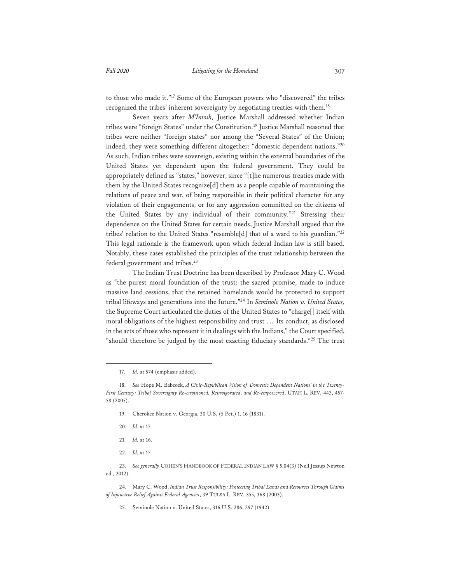to those who made it."17 Some of the European powers who "discovered" the tribes recognized the tribes' inherent sovereignty by negotiating treaties with them.<sup>18</sup>

Seven years after *M'Intosh,* Justice Marshall addressed whether Indian tribes were "foreign States" under the Constitution.19 Justice Marshall reasoned that tribes were neither "foreign states" nor among the "Several States" of the Union; indeed, they were something different altogether: "domestic dependent nations."20 As such, Indian tribes were sovereign, existing within the external boundaries of the United States yet dependent upon the federal government. They could be appropriately defined as "states," however, since "[t]he numerous treaties made with them by the United States recognize[d] them as a people capable of maintaining the relations of peace and war, of being responsible in their political character for any violation of their engagements, or for any aggression committed on the citizens of the United States by any individual of their community."<sup>21</sup> Stressing their dependence on the United States for certain needs, Justice Marshall argued that the tribes' relation to the United States "resemble[d] that of a ward to his guardian."22 This legal rationale is the framework upon which federal Indian law is still based. Notably, these cases established the principles of the trust relationship between the federal government and tribes.<sup>23</sup>

The Indian Trust Doctrine has been described by Professor Mary C. Wood as "the purest moral foundation of the trust: the sacred promise, made to induce massive land cessions, that the retained homelands would be protected to support tribal lifeways and generations into the future."24 In *Seminole Nation v. United States,* the Supreme Court articulated the duties of the United States to "charge[] itself with moral obligations of the highest responsibility and trust … Its conduct, as disclosed in the acts of those who represent it in dealings with the Indians," the Court specified, "should therefore be judged by the most exacting fiduciary standards."<sup>25</sup> The trust

17. *Id.* at 574 (emphasis added).

- 19. Cherokee Nation v. Georgia, 30 U.S. (5 Pet.) 1, 16 (1831).
- 20. *Id.* at 17.
- 21. *Id.* at 16.
- 22. *Id.* at 17.

23. *See generally* COHEN'S HANDBOOK OF FEDERAL INDIAN LAW § 5.04(3) (Nell Jessup Newton ed., 2012).

24. Mary C. Wood, *Indian Trust Responsibility: Protecting Tribal Lands and Resources Through Claims of Injunctive Relief Against Federal Agencies*, 39 TULSA L. REV. 355, 368 (2003).

25. Seminole Nation v. United States, 316 U.S. 286, 297 (1942).

<sup>18.</sup> *See* Hope M. Babcock, *A Civic-Republican Vision of 'Domestic Dependent Nations' in the Twenty-First Century: Tribal Sovereignty Re-envisioned, Reinvigorated, and Re-empowered*, UTAH L. REV. 443, 457- 58 (2005).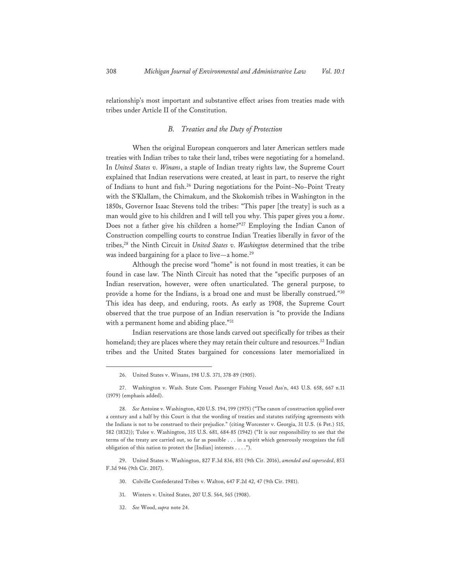relationship's most important and substantive effect arises from treaties made with tribes under Article II of the Constitution.

## *B. Treaties and the Duty of Protection*

When the original European conquerors and later American settlers made treaties with Indian tribes to take their land, tribes were negotiating for a homeland. In *United States v. Winans*, a staple of Indian treaty rights law, the Supreme Court explained that Indian reservations were created, at least in part, to reserve the right of Indians to hunt and fish.<sup>26</sup> During negotiations for the Point-No-Point Treaty with the S'Klallam, the Chimakum, and the Skokomish tribes in Washington in the 1850s, Governor Isaac Stevens told the tribes: "This paper [the treaty] is such as a man would give to his children and I will tell you why. This paper gives you a *home*. Does not a father give his children a home?"<sup>27</sup> Employing the Indian Canon of Construction compelling courts to construe Indian Treaties liberally in favor of the tribes,28 the Ninth Circuit in *United States v. Washington* determined that the tribe was indeed bargaining for a place to live—a home.<sup>29</sup>

Although the precise word "home" is not found in most treaties, it can be found in case law. The Ninth Circuit has noted that the "specific purposes of an Indian reservation, however, were often unarticulated. The general purpose, to provide a home for the Indians, is a broad one and must be liberally construed."30 This idea has deep, and enduring, roots. As early as 1908, the Supreme Court observed that the true purpose of an Indian reservation is "to provide the Indians with a permanent home and abiding place."31

Indian reservations are those lands carved out specifically for tribes as their homeland; they are places where they may retain their culture and resources.<sup>32</sup> Indian tribes and the United States bargained for concessions later memorialized in

- 30. Colville Confederated Tribes v. Walton, 647 F.2d 42, 47 (9th Cir. 1981).
- 31. Winters v. United States, 207 U.S. 564, 565 (1908).
- 32. *See* Wood, *supra* note 24.

<sup>26.</sup> United States v. Winans, 198 U.S. 371, 378-89 (1905).

<sup>27.</sup> Washington v. Wash. State Com. Passenger Fishing Vessel Ass'n, 443 U.S. 658, 667 n.11 (1979) (emphasis added).

<sup>28.</sup> *See* Antoine v. Washington, 420 U.S. 194, 199 (1975) ("The canon of construction applied over a century and a half by this Court is that the wording of treaties and statutes ratifying agreements with the Indians is not to be construed to their prejudice." (citing Worcester v. Georgia, 31 U.S. (6 Pet.) 515, 582 (1832)); Tulee v. Washington, 315 U.S. 681, 684-85 (1942) ("It is our responsibility to see that the terms of the treaty are carried out, so far as possible . . . in a spirit which generously recognizes the full obligation of this nation to protect the [Indian] interests . . . .").

<sup>29.</sup> United States v. Washington, 827 F.3d 836, 851 (9th Cir. 2016), *amended and superseded*, 853 F.3d 946 (9th Cir. 2017).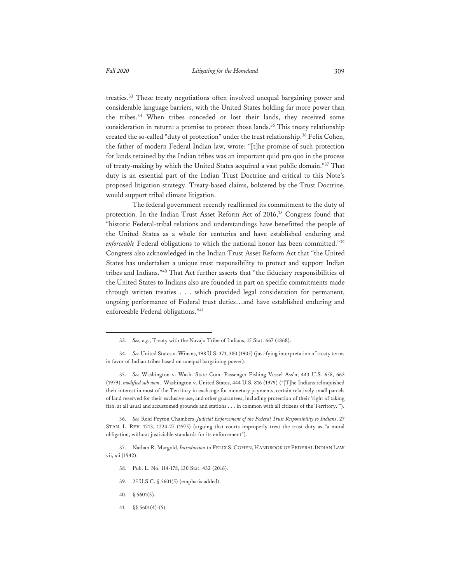treaties.33 These treaty negotiations often involved unequal bargaining power and considerable language barriers, with the United States holding far more power than the tribes.34 When tribes conceded or lost their lands, they received some consideration in return: a promise to protect those lands.<sup>35</sup> This treaty relationship created the so-called "duty of protection" under the trust relationship.<sup>36</sup> Felix Cohen, the father of modern Federal Indian law, wrote: "[t]he promise of such protection for lands retained by the Indian tribes was an important quid pro quo in the process of treaty-making by which the United States acquired a vast public domain."37 That duty is an essential part of the Indian Trust Doctrine and critical to this Note's proposed litigation strategy. Treaty-based claims, bolstered by the Trust Doctrine, would support tribal climate litigation.

The federal government recently reaffirmed its commitment to the duty of protection. In the Indian Trust Asset Reform Act of 2016,<sup>38</sup> Congress found that "historic Federal-tribal relations and understandings have benefitted the people of the United States as a whole for centuries and have established enduring and *enforceable* Federal obligations to which the national honor has been committed."<sup>39</sup> Congress also acknowledged in the Indian Trust Asset Reform Act that "the United States has undertaken a unique trust responsibility to protect and support Indian tribes and Indians."40 That Act further asserts that "the fiduciary responsibilities of the United States to Indians also are founded in part on specific commitments made through written treaties . . . which provided legal consideration for permanent, ongoing performance of Federal trust duties…and have established enduring and enforceable Federal obligations."41

35. *See* Washington v. Wash. State Com. Passenger Fishing Vessel Ass'n, 443 U.S. 658, 662 (1979), *modified sub nom,* Washington v. United States, 444 U.S. 816 (1979) ("[T]he Indians relinquished their interest in most of the Territory in exchange for monetary payments, certain relatively small parcels of land reserved for their exclusive use, and other guarantees, including protection of their 'right of taking fish, at all usual and accustomed grounds and stations . . . in common with all citizens of the Territory.'").

36. *See* Reid Peyton Chambers, *Judicial Enforcement of the Federal Trust Responsibility to Indians*, 27 STAN. L. REV. 1213, 1224-27 (1975) (arguing that courts improperly treat the trust duty as "a moral obligation, without justiciable standards for its enforcement").

37. Nathan R. Margold, *Introduction* to FELIX S. COHEN, HANDBOOK OF FEDERAL INDIAN LAW vii, xii (1942).

- 38. Pub. L. No. 114-178, 130 Stat. 432 (2016).
- 39. 25 U.S.C. § 5601(5) (emphasis added).
- 40. § 5601(3).
- 41. §§ 5601(4)-(5).

<sup>33.</sup> *See, e.g.*, Treaty with the Navajo Tribe of Indians, 15 Stat. 667 (1868).

<sup>34.</sup> *See* United States v. Winans, 198 U.S. 371, 380 (1905) (justifying interpretation of treaty terms in favor of Indian tribes based on unequal bargaining power).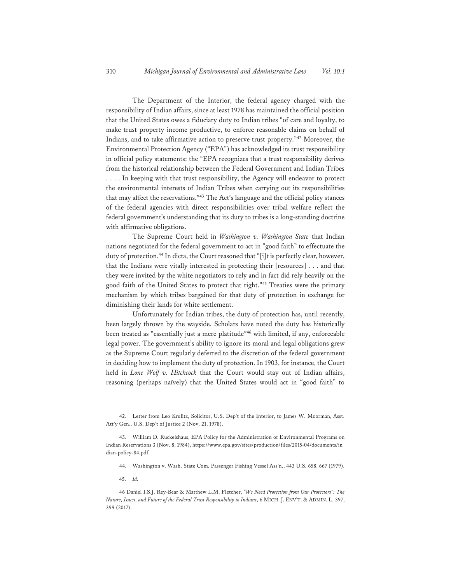The Department of the Interior, the federal agency charged with the responsibility of Indian affairs, since at least 1978 has maintained the official position that the United States owes a fiduciary duty to Indian tribes "of care and loyalty, to make trust property income productive, to enforce reasonable claims on behalf of Indians, and to take affirmative action to preserve trust property."42 Moreover, the Environmental Protection Agency ("EPA") has acknowledged its trust responsibility in official policy statements: the "EPA recognizes that a trust responsibility derives from the historical relationship between the Federal Government and Indian Tribes . . . . In keeping with that trust responsibility, the Agency will endeavor to protect the environmental interests of Indian Tribes when carrying out its responsibilities that may affect the reservations."43 The Act's language and the official policy stances of the federal agencies with direct responsibilities over tribal welfare reflect the federal government's understanding that its duty to tribes is a long-standing doctrine with affirmative obligations.

The Supreme Court held in *Washington v. Washington State* that Indian nations negotiated for the federal government to act in "good faith" to effectuate the duty of protection.<sup>44</sup> In dicta, the Court reasoned that "[i]t is perfectly clear, however, that the Indians were vitally interested in protecting their [resources] . . . and that they were invited by the white negotiators to rely and in fact did rely heavily on the good faith of the United States to protect that right."45 Treaties were the primary mechanism by which tribes bargained for that duty of protection in exchange for diminishing their lands for white settlement.

Unfortunately for Indian tribes, the duty of protection has, until recently, been largely thrown by the wayside. Scholars have noted the duty has historically been treated as "essentially just a mere platitude"46 with limited, if any, enforceable legal power. The government's ability to ignore its moral and legal obligations grew as the Supreme Court regularly deferred to the discretion of the federal government in deciding how to implement the duty of protection. In 1903, for instance, the Court held in *Lone Wolf v. Hitchcock* that the Court would stay out of Indian affairs, reasoning (perhaps naïvely) that the United States would act in "good faith" to

<sup>42.</sup> Letter from Leo Krulitz, Solicitor, U.S. Dep't of the Interior, to James W. Moorman, Asst. Att'y Gen., U.S. Dep't of Justice 2 (Nov. 21, 1978).

<sup>43.</sup> William D. Ruckelshaus, EPA Policy for the Administration of Environmental Programs on Indian Reservations 3 (Nov. 8, 1984), https://www.epa.gov/sites/production/files/2015-04/documents/in dian-policy-84.pdf.

<sup>44.</sup> Washington v. Wash. State Com. Passenger Fishing Vessel Ass'n., 443 U.S. 658, 667 (1979).

<sup>45.</sup> *Id.*

<sup>46</sup> Daniel I.S.J. Rey-Bear & Matthew L.M. Fletcher, "*We Need Protection from Our Protectors": The Nature, Issues, and Future of the Federal Trust Responsibility to Indians*, 6 MICH. J. ENV'T. & ADMIN. L. 397, 399 (2017).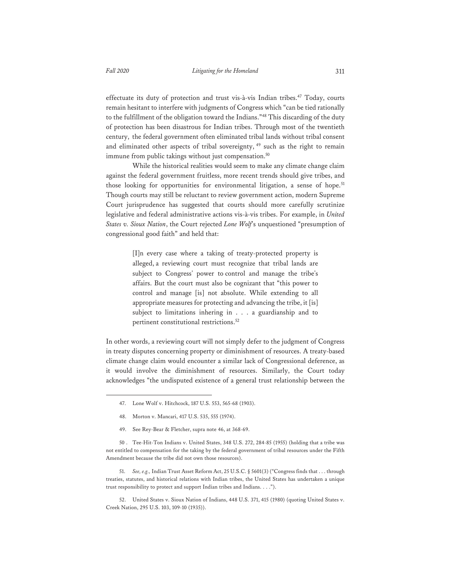effectuate its duty of protection and trust vis-à-vis Indian tribes.<sup>47</sup> Today, courts remain hesitant to interfere with judgments of Congress which "can be tied rationally to the fulfillment of the obligation toward the Indians."48 This discarding of the duty of protection has been disastrous for Indian tribes. Through most of the twentieth century, the federal government often eliminated tribal lands without tribal consent and eliminated other aspects of tribal sovereignty, <sup>49</sup> such as the right to remain immune from public takings without just compensation.<sup>50</sup>

While the historical realities would seem to make any climate change claim against the federal government fruitless, more recent trends should give tribes, and those looking for opportunities for environmental litigation, a sense of hope.<sup>51</sup> Though courts may still be reluctant to review government action, modern Supreme Court jurisprudence has suggested that courts should more carefully scrutinize legislative and federal administrative actions vis-à-vis tribes. For example, in *United States v. Sioux Nation*, the Court rejected *Lone Wolf*'s unquestioned "presumption of congressional good faith" and held that:

> [I]n every case where a taking of treaty-protected property is alleged, a reviewing court must recognize that tribal lands are subject to Congress' power to control and manage the tribe's affairs. But the court must also be cognizant that "this power to control and manage [is] not absolute. While extending to all appropriate measures for protecting and advancing the tribe, it [is] subject to limitations inhering in . . . a guardianship and to pertinent constitutional restrictions.<sup>52</sup>

In other words, a reviewing court will not simply defer to the judgment of Congress in treaty disputes concerning property or diminishment of resources. A treaty-based climate change claim would encounter a similar lack of Congressional deference, as it would involve the diminishment of resources. Similarly, the Court today acknowledges "the undisputed existence of a general trust relationship between the

- 48. Morton v. Mancari, 417 U.S. 535, 555 (1974).
- 49. See Rey-Bear & Fletcher, supra note 46, at 368-69.

50 . Tee-Hit-Ton Indians v. United States, 348 U.S. 272, 284-85 (1955) (holding that a tribe was not entitled to compensation for the taking by the federal government of tribal resources under the Fifth Amendment because the tribe did not own those resources).

51. *See, e.g.,* Indian Trust Asset Reform Act, 25 U.S.C. § 5601(3) ("Congress finds that . . . through treaties, statutes, and historical relations with Indian tribes, the United States has undertaken a unique trust responsibility to protect and support Indian tribes and Indians. . . .").

52. United States v. Sioux Nation of Indians, 448 U.S. 371, 415 (1980) (quoting United States v. Creek Nation, 295 U.S. 103, 109-10 (1935)).

<sup>47.</sup> Lone Wolf v. Hitchcock, 187 U.S. 553, 565-68 (1903).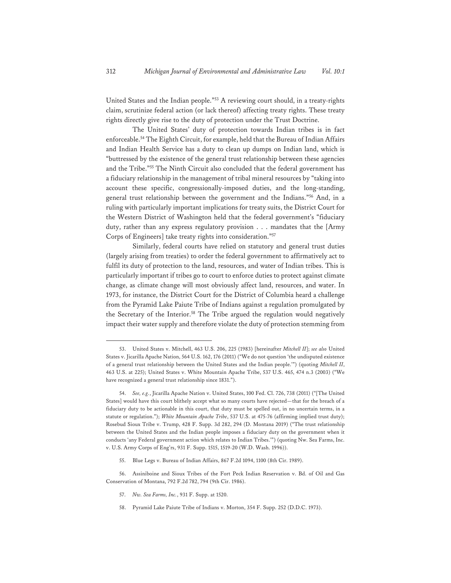United States and the Indian people."53 A reviewing court should, in a treaty-rights claim, scrutinize federal action (or lack thereof) affecting treaty rights. These treaty rights directly give rise to the duty of protection under the Trust Doctrine.

The United States' duty of protection towards Indian tribes is in fact enforceable.54 The Eighth Circuit, for example, held that the Bureau of Indian Affairs and Indian Health Service has a duty to clean up dumps on Indian land, which is "buttressed by the existence of the general trust relationship between these agencies and the Tribe."55 The Ninth Circuit also concluded that the federal government has a fiduciary relationship in the management of tribal mineral resources by "taking into account these specific, congressionally-imposed duties, and the long-standing, general trust relationship between the government and the Indians."56 And, in a ruling with particularly important implications for treaty suits, the District Court for the Western District of Washington held that the federal government's "fiduciary duty, rather than any express regulatory provision . . . mandates that the [Army Corps of Engineers] take treaty rights into consideration."57

Similarly, federal courts have relied on statutory and general trust duties (largely arising from treaties) to order the federal government to affirmatively act to fulfil its duty of protection to the land, resources, and water of Indian tribes. This is particularly important if tribes go to court to enforce duties to protect against climate change, as climate change will most obviously affect land, resources, and water. In 1973, for instance, the District Court for the District of Columbia heard a challenge from the Pyramid Lake Paiute Tribe of Indians against a regulation promulgated by the Secretary of the Interior.<sup>58</sup> The Tribe argued the regulation would negatively impact their water supply and therefore violate the duty of protection stemming from

- 57. *Nw. Sea Farms, Inc.*, 931 F. Supp. at 1520.
- 58. Pyramid Lake Paiute Tribe of Indians v. Morton, 354 F. Supp. 252 (D.D.C. 1973).

<sup>53.</sup> United States v. Mitchell, 463 U.S. 206, 225 (1983) [hereinafter *Mitchell II*]; *see also* United States v. Jicarilla Apache Nation, 564 U.S. 162, 176 (2011) ("We do not question 'the undisputed existence of a general trust relationship between the United States and the Indian people.'") (quoting *Mitchell II*, 463 U.S. at 225); United States v. White Mountain Apache Tribe, 537 U.S. 465, 474 n.3 (2003) ("We have recognized a general trust relationship since 1831.").

<sup>54.</sup> *See, e.g.*, Jicarilla Apache Nation v. United States, 100 Fed. Cl. 726, 738 (2011) ("[The United States] would have this court blithely accept what so many courts have rejected—that for the breach of a fiduciary duty to be actionable in this court, that duty must be spelled out, in no uncertain terms, in a statute or regulation."); *White Mountain Apache Tribe*, 537 U.S. at 475-76 (affirming implied trust duty); Rosebud Sioux Tribe v. Trump, 428 F. Supp. 3d 282, 294 (D. Montana 2019) ("The trust relationship between the United States and the Indian people imposes a fiduciary duty on the government when it conducts 'any Federal government action which relates to Indian Tribes.'") (quoting Nw. Sea Farms, Inc. v. U.S. Army Corps of Eng'rs, 931 F. Supp. 1515, 1519-20 (W.D. Wash. 1996)).

<sup>55.</sup> Blue Legs v. Bureau of Indian Affairs, 867 F.2d 1094, 1100 (8th Cir. 1989).

<sup>56.</sup> Assiniboine and Sioux Tribes of the Fort Peck Indian Reservation v. Bd. of Oil and Gas Conservation of Montana, 792 F.2d 782, 794 (9th Cir. 1986).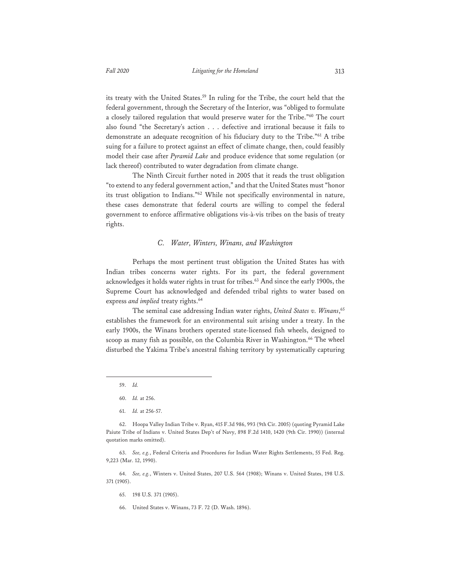its treaty with the United States.<sup>59</sup> In ruling for the Tribe, the court held that the federal government, through the Secretary of the Interior, was "obliged to formulate a closely tailored regulation that would preserve water for the Tribe."<sup>60</sup> The court also found "the Secretary's action . . . defective and irrational because it fails to demonstrate an adequate recognition of his fiduciary duty to the Tribe."61 A tribe suing for a failure to protect against an effect of climate change, then, could feasibly model their case after *Pyramid Lake* and produce evidence that some regulation (or lack thereof) contributed to water degradation from climate change.

The Ninth Circuit further noted in 2005 that it reads the trust obligation "to extend to any federal government action," and that the United States must "honor its trust obligation to Indians."62 While not specifically environmental in nature, these cases demonstrate that federal courts are willing to compel the federal government to enforce affirmative obligations vis-à-vis tribes on the basis of treaty rights.

#### *C. Water, Winters, Winans, and Washington*

Perhaps the most pertinent trust obligation the United States has with Indian tribes concerns water rights. For its part, the federal government acknowledges it holds water rights in trust for tribes.63 And since the early 1900s, the Supreme Court has acknowledged and defended tribal rights to water based on express *and implied* treaty rights.<sup>64</sup>

The seminal case addressing Indian water rights, *United States v. Winans*, 65 establishes the framework for an environmental suit arising under a treaty. In the early 1900s, the Winans brothers operated state-licensed fish wheels, designed to scoop as many fish as possible, on the Columbia River in Washington.<sup>66</sup> The wheel disturbed the Yakima Tribe's ancestral fishing territory by systematically capturing

61. *Id.* at 256-57.

63. *See, e.g.*, Federal Criteria and Procedures for Indian Water Rights Settlements, 55 Fed. Reg. 9,223 (Mar. 12, 1990).

64. *See, e.g.*, Winters v. United States, 207 U.S. 564 (1908); Winans v. United States, 198 U.S. 371 (1905).

- 65. 198 U.S. 371 (1905).
- 66. United States v. Winans, 73 F. 72 (D. Wash. 1896).

<sup>59.</sup> *Id.*

<sup>60.</sup> *Id.* at 256.

<sup>62.</sup> Hoopa Valley Indian Tribe v. Ryan, 415 F.3d 986, 993 (9th Cir. 2005) (quoting Pyramid Lake Paiute Tribe of Indians v. United States Dep't of Navy, 898 F.2d 1410, 1420 (9th Cir. 1990)) (internal quotation marks omitted).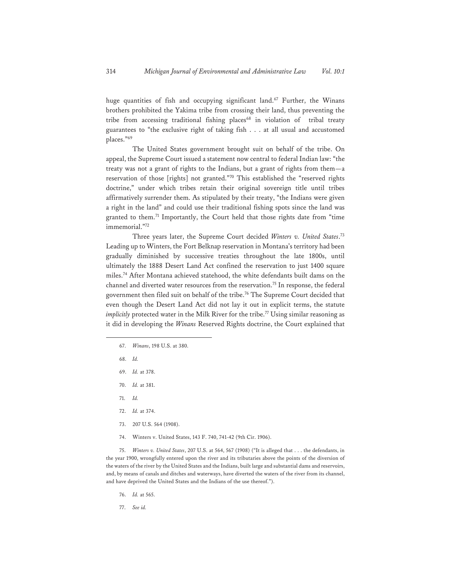huge quantities of fish and occupying significant land.<sup>67</sup> Further, the Winans brothers prohibited the Yakima tribe from crossing their land, thus preventing the tribe from accessing traditional fishing places<sup>68</sup> in violation of tribal treaty guarantees to "the exclusive right of taking fish . . . at all usual and accustomed places."69

The United States government brought suit on behalf of the tribe. On appeal, the Supreme Court issued a statement now central to federal Indian law: "the treaty was not a grant of rights to the Indians, but a grant of rights from them—a reservation of those [rights] not granted."70 This established the "reserved rights doctrine," under which tribes retain their original sovereign title until tribes affirmatively surrender them. As stipulated by their treaty, "the Indians were given a right in the land" and could use their traditional fishing spots since the land was granted to them.<sup>71</sup> Importantly, the Court held that those rights date from "time immemorial."72

Three years later, the Supreme Court decided *Winters v. United States*. 73 Leading up to Winters, the Fort Belknap reservation in Montana's territory had been gradually diminished by successive treaties throughout the late 1800s, until ultimately the 1888 Desert Land Act confined the reservation to just 1400 square miles.74 After Montana achieved statehood, the white defendants built dams on the channel and diverted water resources from the reservation.75 In response, the federal government then filed suit on behalf of the tribe.76 The Supreme Court decided that even though the Desert Land Act did not lay it out in explicit terms, the statute *implicitly* protected water in the Milk River for the tribe.<sup>77</sup> Using similar reasoning as it did in developing the *Winans* Reserved Rights doctrine, the Court explained that

- 67. *Winans*, 198 U.S. at 380.
- 68. *Id.*
- 69. *Id.* at 378.
- 70. *Id.* at 381.
- 71. *Id.*
- 72. *Id.* at 374.
- 73. 207 U.S. 564 (1908).
- 74. Winters v. United States, 143 F. 740, 741-42 (9th Cir. 1906).

75. *Winters v. United States*, 207 U.S. at 564, 567 (1908) ("It is alleged that . . . the defendants, in the year 1900, wrongfully entered upon the river and its tributaries above the points of the diversion of the waters of the river by the United States and the Indians, built large and substantial dams and reservoirs, and, by means of canals and ditches and waterways, have diverted the waters of the river from its channel, and have deprived the United States and the Indians of the use thereof.").

- 76. *Id.* at 565.
- 77. *See id.*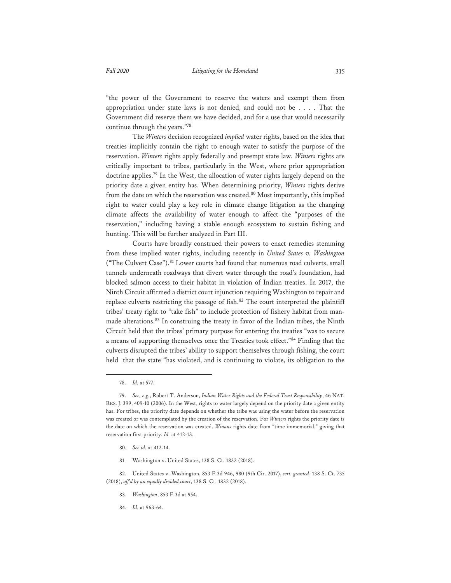"the power of the Government to reserve the waters and exempt them from appropriation under state laws is not denied, and could not be . . . . That the Government did reserve them we have decided, and for a use that would necessarily continue through the years."78

The *Winters* decision recognized *implied* water rights, based on the idea that treaties implicitly contain the right to enough water to satisfy the purpose of the reservation. *Winters* rights apply federally and preempt state law. *Winters* rights are critically important to tribes, particularly in the West, where prior appropriation doctrine applies.79 In the West, the allocation of water rights largely depend on the priority date a given entity has. When determining priority, *Winters* rights derive from the date on which the reservation was created.<sup>80</sup> Most importantly, this implied right to water could play a key role in climate change litigation as the changing climate affects the availability of water enough to affect the "purposes of the reservation," including having a stable enough ecosystem to sustain fishing and hunting. This will be further analyzed in Part III.

Courts have broadly construed their powers to enact remedies stemming from these implied water rights, including recently in *United States v. Washington* ("The Culvert Case").<sup>81</sup> Lower courts had found that numerous road culverts, small tunnels underneath roadways that divert water through the road's foundation, had blocked salmon access to their habitat in violation of Indian treaties. In 2017, the Ninth Circuit affirmed a district court injunction requiring Washington to repair and replace culverts restricting the passage of fish.<sup>82</sup> The court interpreted the plaintiff tribes' treaty right to "take fish" to include protection of fishery habitat from manmade alterations.<sup>83</sup> In construing the treaty in favor of the Indian tribes, the Ninth Circuit held that the tribes' primary purpose for entering the treaties "was to secure a means of supporting themselves once the Treaties took effect."84 Finding that the culverts disrupted the tribes' ability to support themselves through fishing, the court held that the state "has violated, and is continuing to violate, its obligation to the

81. Washington v. United States, 138 S. Ct. 1832 (2018).

82. United States v. Washington, 853 F.3d 946, 980 (9th Cir. 2017), *cert. granted*, 138 S. Ct. 735 (2018), *aff'd by an equally divided court*, 138 S. Ct. 1832 (2018).

- 83. *Washington*, 853 F.3d at 954.
- 84. *Id.* at 963-64.

<sup>78.</sup> *Id.* at 577.

<sup>79.</sup> *See, e.g.*, Robert T. Anderson, *Indian Water Rights and the Federal Trust Responsibility*, 46 NAT. RES. J. 399, 409-10 (2006). In the West, rights to water largely depend on the priority date a given entity has. For tribes, the priority date depends on whether the tribe was using the water before the reservation was created or was contemplated by the creation of the reservation. For *Winters* rights the priority date is the date on which the reservation was created. *Winans* rights date from "time immemorial," giving that reservation first priority. *Id.* at 412-13.

<sup>80</sup>*. See id.* at 412-14.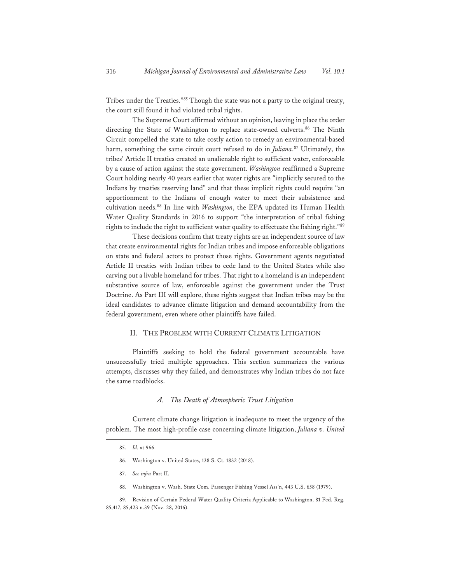Tribes under the Treaties."<sup>85</sup> Though the state was not a party to the original treaty, the court still found it had violated tribal rights.

The Supreme Court affirmed without an opinion, leaving in place the order directing the State of Washington to replace state-owned culverts.<sup>86</sup> The Ninth Circuit compelled the state to take costly action to remedy an environmental-based harm, something the same circuit court refused to do in *Juliana*. 87 Ultimately, the tribes' Article II treaties created an unalienable right to sufficient water, enforceable by a cause of action against the state government. *Washington* reaffirmed a Supreme Court holding nearly 40 years earlier that water rights are "implicitly secured to the Indians by treaties reserving land" and that these implicit rights could require "an apportionment to the Indians of enough water to meet their subsistence and cultivation needs.88 In line with *Washington*, the EPA updated its Human Health Water Quality Standards in 2016 to support "the interpretation of tribal fishing rights to include the right to sufficient water quality to effectuate the fishing right."<sup>89</sup>

These decisions confirm that treaty rights are an independent source of law that create environmental rights for Indian tribes and impose enforceable obligations on state and federal actors to protect those rights. Government agents negotiated Article II treaties with Indian tribes to cede land to the United States while also carving out a livable homeland for tribes. That right to a homeland is an independent substantive source of law, enforceable against the government under the Trust Doctrine. As Part III will explore, these rights suggest that Indian tribes may be the ideal candidates to advance climate litigation and demand accountability from the federal government, even where other plaintiffs have failed.

#### II. THE PROBLEM WITH CURRENT CLIMATE LITIGATION

 Plaintiffs seeking to hold the federal government accountable have unsuccessfully tried multiple approaches. This section summarizes the various attempts, discusses why they failed, and demonstrates why Indian tribes do not face the same roadblocks.

#### *A. The Death of Atmospheric Trust Litigation*

Current climate change litigation is inadequate to meet the urgency of the problem. The most high-profile case concerning climate litigation, *Juliana v. United* 

- 86. Washington v. United States, 138 S. Ct. 1832 (2018).
- 87. *See infra* Part II.
- 88. Washington v. Wash. State Com. Passenger Fishing Vessel Ass'n, 443 U.S. 658 (1979).

<sup>85.</sup> *Id.* at 966.

<sup>89.</sup> Revision of Certain Federal Water Quality Criteria Applicable to Washington, 81 Fed. Reg. 85,417, 85,423 n.39 (Nov. 28, 2016).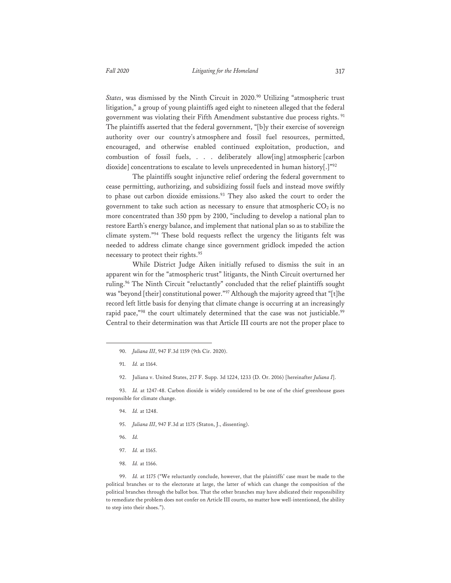*States*, was dismissed by the Ninth Circuit in 2020.90 Utilizing "atmospheric trust litigation," a group of young plaintiffs aged eight to nineteen alleged that the federal government was violating their Fifth Amendment substantive due process rights.<sup>91</sup> The plaintiffs asserted that the federal government, "[b]y their exercise of sovereign authority over our country's atmosphere and fossil fuel resources, permitted, encouraged, and otherwise enabled continued exploitation, production, and combustion of fossil fuels, . . . deliberately allow[ing] atmospheric [carbon dioxide] concentrations to escalate to levels unprecedented in human history[.]"92

The plaintiffs sought injunctive relief ordering the federal government to cease permitting, authorizing, and subsidizing fossil fuels and instead move swiftly to phase out carbon dioxide emissions.<sup>93</sup> They also asked the court to order the government to take such action as necessary to ensure that atmospheric  $CO<sub>2</sub>$  is no more concentrated than 350 ppm by 2100, "including to develop a national plan to restore Earth's energy balance, and implement that national plan so as to stabilize the climate system."94 These bold requests reflect the urgency the litigants felt was needed to address climate change since government gridlock impeded the action necessary to protect their rights.<sup>95</sup>

While District Judge Aiken initially refused to dismiss the suit in an apparent win for the "atmospheric trust" litigants, the Ninth Circuit overturned her ruling.<sup>96</sup> The Ninth Circuit "reluctantly" concluded that the relief plaintiffs sought was "beyond [their] constitutional power."<sup>97</sup> Although the majority agreed that "[t]he record left little basis for denying that climate change is occurring at an increasingly rapid pace,"<sup>98</sup> the court ultimately determined that the case was not justiciable.<sup>99</sup> Central to their determination was that Article III courts are not the proper place to

92. Juliana v. United States, 217 F. Supp. 3d 1224, 1233 (D. Or. 2016) [hereinafter *Juliana I*].

93. *Id.* at 1247-48. Carbon dioxide is widely considered to be one of the chief greenhouse gases responsible for climate change.

- 94. *Id.* at 1248.
- 95. *Juliana III*, 947 F.3d at 1175 (Staton, J., dissenting).
- 96. *Id.*
- 97. *Id.* at 1165.
- 98. *Id.* at 1166.

99. *Id.* at 1175 ("We reluctantly conclude, however, that the plaintiffs' case must be made to the political branches or to the electorate at large, the latter of which can change the composition of the political branches through the ballot box. That the other branches may have abdicated their responsibility to remediate the problem does not confer on Article III courts, no matter how well-intentioned, the ability to step into their shoes.").

<sup>90.</sup> *Juliana III*, 947 F.3d 1159 (9th Cir. 2020).

<sup>91.</sup> *Id.* at 1164.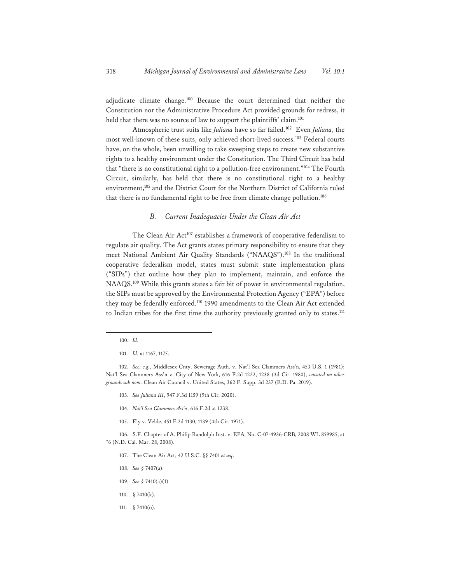adjudicate climate change.100 Because the court determined that neither the Constitution nor the Administrative Procedure Act provided grounds for redress, it held that there was no source of law to support the plaintiffs' claim.<sup>101</sup>

Atmospheric trust suits like *Juliana* have so far failed.102 Even *Juliana*, the most well-known of these suits, only achieved short-lived success.103 Federal courts have, on the whole, been unwilling to take sweeping steps to create new substantive rights to a healthy environment under the Constitution. The Third Circuit has held that "there is no constitutional right to a pollution-free environment."104 The Fourth Circuit, similarly, has held that there is no constitutional right to a healthy environment,<sup>105</sup> and the District Court for the Northern District of California ruled that there is no fundamental right to be free from climate change pollution.<sup>106</sup>

### *B. Current Inadequacies Under the Clean Air Act*

The Clean Air Act<sup>107</sup> establishes a framework of cooperative federalism to regulate air quality. The Act grants states primary responsibility to ensure that they meet National Ambient Air Quality Standards ("NAAQS").108 In the traditional cooperative federalism model, states must submit state implementation plans ("SIPs") that outline how they plan to implement, maintain, and enforce the NAAQS.109 While this grants states a fair bit of power in environmental regulation, the SIPs must be approved by the Environmental Protection Agency ("EPA") before they may be federally enforced.<sup>110</sup> 1990 amendments to the Clean Air Act extended to Indian tribes for the first time the authority previously granted only to states.<sup>111</sup>

- 103. *See Juliana III*, 947 F.3d 1159 (9th Cir. 2020).
- 104. *Nat'l Sea Clammers Ass'n*, 616 F.2d at 1238.
- 105. Ely v. Velde, 451 F.2d 1130, 1139 (4th Cir. 1971).

106. S.F. Chapter of A. Philip Randolph Inst. v. EPA, No. C-07-4936-CRB, 2008 WL 859985, at \*6 (N.D. Cal. Mar. 28, 2008).

- 107. The Clean Air Act, 42 U.S.C. §§ 7401 *et seq*.
- 108. *See* § 7407(a).
- 109. *See* § 7410(a)(1).
- 110. § 7410(k).
- 111. § 7410(o).

<sup>100.</sup> *Id.*

<sup>101.</sup> *Id.* at 1167, 1175.

<sup>102.</sup> *See, e.g.*, Middlesex Cnty. Sewerage Auth. v. Nat'l Sea Clammers Ass'n, 453 U.S. 1 (1981); Nat'l Sea Clammers Ass'n v. City of New York, 616 F.2d 1222, 1238 (3d Cir. 1980), *vacated on other grounds sub nom.* Clean Air Council v. United States, 362 F. Supp. 3d 237 (E.D. Pa. 2019).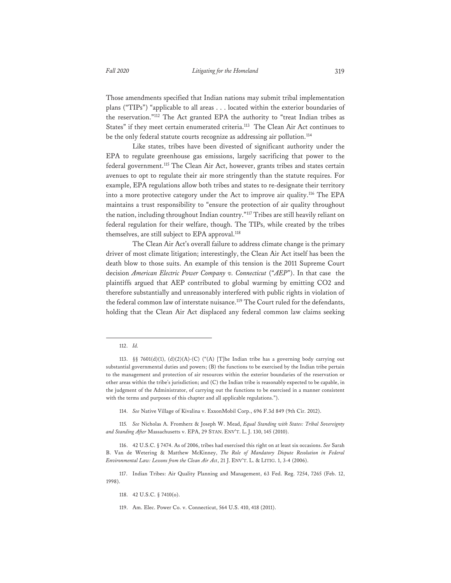Those amendments specified that Indian nations may submit tribal implementation plans ("TIPs") "applicable to all areas . . . located within the exterior boundaries of the reservation."112 The Act granted EPA the authority to "treat Indian tribes as States" if they meet certain enumerated criteria.113 The Clean Air Act continues to be the only federal statute courts recognize as addressing air pollution.<sup>114</sup>

Like states, tribes have been divested of significant authority under the EPA to regulate greenhouse gas emissions, largely sacrificing that power to the federal government.<sup>115</sup> The Clean Air Act, however, grants tribes and states certain avenues to opt to regulate their air more stringently than the statute requires. For example, EPA regulations allow both tribes and states to re-designate their territory into a more protective category under the Act to improve air quality.116 The EPA maintains a trust responsibility to "ensure the protection of air quality throughout the nation, including throughout Indian country."117 Tribes are still heavily reliant on federal regulation for their welfare, though. The TIPs, while created by the tribes themselves, are still subject to EPA approval.<sup>118</sup>

The Clean Air Act's overall failure to address climate change is the primary driver of most climate litigation; interestingly, the Clean Air Act itself has been the death blow to those suits. An example of this tension is the 2011 Supreme Court decision *American Electric Power Company v. Connecticut* ("*AEP*"). In that case the plaintiffs argued that AEP contributed to global warming by emitting CO2 and therefore substantially and unreasonably interfered with public rights in violation of the federal common law of interstate nuisance.<sup>119</sup> The Court ruled for the defendants, holding that the Clean Air Act displaced any federal common law claims seeking

114. *See* Native Village of Kivalina v. ExxonMobil Corp., 696 F.3d 849 (9th Cir. 2012).

115*. See* Nicholas A. Fromherz & Joseph W. Mead, *Equal Standing with States: Tribal Sovereignty and Standing After* Massachusetts v. EPA, 29 STAN. ENV'T. L. J. 130, 145 (2010).

116. 42 U.S.C. § 7474. As of 2006, tribes had exercised this right on at least six occasions. *See* Sarah B. Van de Wetering & Matthew McKinney, *The Role of Mandatory Dispute Resolution in Federal Environmental Law: Lessons from the Clean Air Act*, 21 J. ENV'T. L. & LITIG. 1, 3-4 (2006).

117. Indian Tribes: Air Quality Planning and Management, 63 Fed. Reg. 7254, 7265 (Feb. 12, 1998).

118. 42 U.S.C. § 7410(o).

119. Am. Elec. Power Co. v. Connecticut, 564 U.S. 410, 418 (2011).

<sup>112.</sup> *Id.* 

<sup>113. §§ 7601(</sup>d)(1), (d)(2)(A)-(C) ("(A) [T]he Indian tribe has a governing body carrying out substantial governmental duties and powers; (B) the functions to be exercised by the Indian tribe pertain to the management and protection of air resources within the exterior boundaries of the reservation or other areas within the tribe's jurisdiction; and (C) the Indian tribe is reasonably expected to be capable, in the judgment of the Administrator, of carrying out the functions to be exercised in a manner consistent with the terms and purposes of this chapter and all applicable regulations.").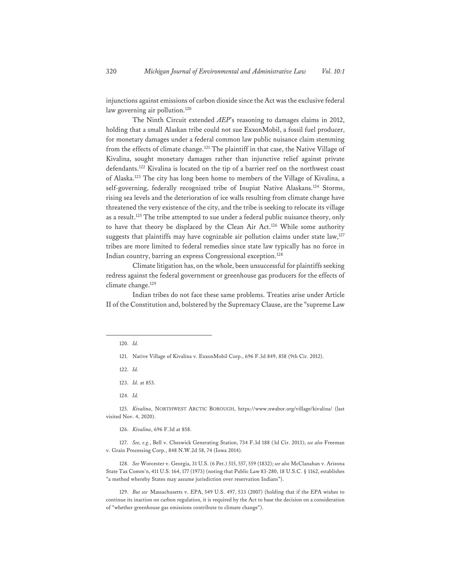injunctions against emissions of carbon dioxide since the Act was the exclusive federal law governing air pollution.<sup>120</sup>

The Ninth Circuit extended *AEP*'s reasoning to damages claims in 2012, holding that a small Alaskan tribe could not sue ExxonMobil, a fossil fuel producer, for monetary damages under a federal common law public nuisance claim stemming from the effects of climate change.<sup>121</sup> The plaintiff in that case, the Native Village of Kivalina, sought monetary damages rather than injunctive relief against private defendants.122 Kivalina is located on the tip of a barrier reef on the northwest coast of Alaska.123 The city has long been home to members of the Village of Kivalina, a self-governing, federally recognized tribe of Inupiat Native Alaskans.<sup>124</sup> Storms, rising sea levels and the deterioration of ice walls resulting from climate change have threatened the very existence of the city, and the tribe is seeking to relocate its village as a result.125 The tribe attempted to sue under a federal public nuisance theory, only to have that theory be displaced by the Clean Air Act.<sup>126</sup> While some authority suggests that plaintiffs may have cognizable air pollution claims under state law, $127$ tribes are more limited to federal remedies since state law typically has no force in Indian country, barring an express Congressional exception.128

Climate litigation has, on the whole, been unsuccessful for plaintiffs seeking redress against the federal government or greenhouse gas producers for the effects of climate change.<sup>129</sup>

Indian tribes do not face these same problems. Treaties arise under Article II of the Constitution and, bolstered by the Supremacy Clause, are the "supreme Law

122. *Id.*

125. *Kivalina*, NORTHWEST ARCTIC BOROUGH, https://www.nwabor.org/village/kivalina/ (last visited Nov. 4, 2020).

126. *Kivalina*, 696 F.3d at 858.

127. *See, e.g.*, Bell v. Cheswick Generating Station, 734 F.3d 188 (3d Cir. 2013); *see also* Freeman v. Grain Processing Corp., 848 N.W.2d 58, 74 (Iowa 2014).

128. *See* Worcester v. Georgia, 31 U.S. (6 Pet.) 515, 557, 559 (1832); *see also* McClanahan v. Arizona State Tax Comm'n, 411 U.S. 164, 177 (1973) (noting that Public Law 83-280, 18 U.S.C. § 1162, establishes "a method whereby States may assume jurisdiction over reservation Indians").

129. *But see* Massachusetts v. EPA, 549 U.S. 497, 533 (2007) (holding that if the EPA wishes to continue its inaction on carbon regulation, it is required by the Act to base the decision on a consideration of "whether greenhouse gas emissions contribute to climate change").

<sup>120.</sup> *Id.*

<sup>121.</sup> Native Village of Kivalina v. ExxonMobil Corp., 696 F.3d 849, 858 (9th Cir. 2012).

<sup>123.</sup> *Id.* at 853.

<sup>124.</sup> *Id.*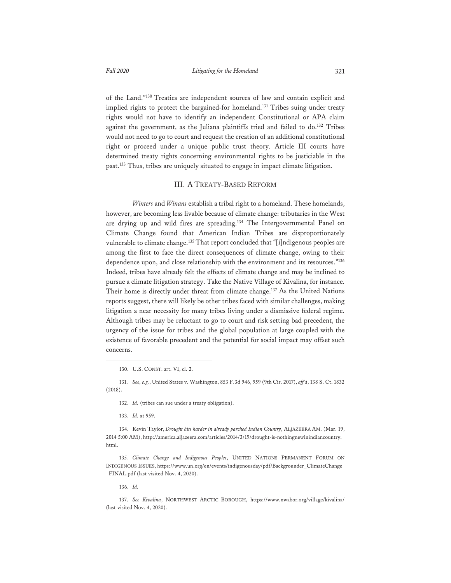of the Land."130 Treaties are independent sources of law and contain explicit and implied rights to protect the bargained-for homeland.<sup>131</sup> Tribes suing under treaty rights would not have to identify an independent Constitutional or APA claim against the government, as the Juliana plaintiffs tried and failed to do.<sup>132</sup> Tribes would not need to go to court and request the creation of an additional constitutional right or proceed under a unique public trust theory. Article III courts have determined treaty rights concerning environmental rights to be justiciable in the past.133 Thus, tribes are uniquely situated to engage in impact climate litigation.

#### III. A TREATY-BASED REFORM

*Winters* and *Winans* establish a tribal right to a homeland. These homelands, however, are becoming less livable because of climate change: tributaries in the West are drying up and wild fires are spreading.134 The Intergovernmental Panel on Climate Change found that American Indian Tribes are disproportionately vulnerable to climate change.<sup>135</sup> That report concluded that "[i]ndigenous peoples are among the first to face the direct consequences of climate change, owing to their dependence upon, and close relationship with the environment and its resources."<sup>136</sup> Indeed, tribes have already felt the effects of climate change and may be inclined to pursue a climate litigation strategy. Take the Native Village of Kivalina, for instance. Their home is directly under threat from climate change.<sup>137</sup> As the United Nations reports suggest, there will likely be other tribes faced with similar challenges, making litigation a near necessity for many tribes living under a dismissive federal regime. Although tribes may be reluctant to go to court and risk setting bad precedent, the urgency of the issue for tribes and the global population at large coupled with the existence of favorable precedent and the potential for social impact may offset such concerns.

131. *See, e.g.*, United States v. Washington, 853 F.3d 946, 959 (9th Cir. 2017), *aff'd*, 138 S. Ct. 1832 (2018).

134. Kevin Taylor, *Drought hits harder in already parched Indian Country*, ALJAZEERA AM. (Mar. 19, 2014 5:00 AM), http://america.aljazeera.com/articles/2014/3/19/drought-is-nothingnewinindiancountry. html.

135*. Climate Change and Indigenous Peoples*, UNITED NATIONS PERMANENT FORUM ON INDIGENOUS ISSUES, https://www.un.org/en/events/indigenousday/pdf/Backgrounder\_ClimateChange \_FINAL.pdf (last visited Nov. 4, 2020).

136. *Id.*

137. *See Kivalina*, NORTHWEST ARCTIC BOROUGH, https://www.nwabor.org/village/kivalina/ (last visited Nov. 4, 2020).

<sup>130.</sup> U.S. CONST. art. VI, cl. 2.

<sup>132.</sup> *Id.* (tribes can sue under a treaty obligation).

<sup>133.</sup> *Id.* at 959.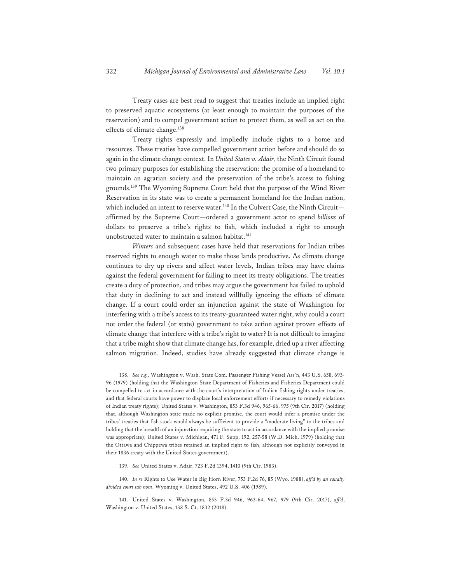Treaty cases are best read to suggest that treaties include an implied right to preserved aquatic ecosystems (at least enough to maintain the purposes of the reservation) and to compel government action to protect them, as well as act on the effects of climate change.<sup>138</sup>

Treaty rights expressly and impliedly include rights to a home and resources. These treaties have compelled government action before and should do so again in the climate change context. In *United States v. Adair*, the Ninth Circuit found two primary purposes for establishing the reservation: the promise of a homeland to maintain an agrarian society and the preservation of the tribe's access to fishing grounds.139 The Wyoming Supreme Court held that the purpose of the Wind River Reservation in its state was to create a permanent homeland for the Indian nation, which included an intent to reserve water.<sup>140</sup> In the Culvert Case, the Ninth Circuitaffirmed by the Supreme Court—ordered a government actor to spend *billions* of dollars to preserve a tribe's rights to fish, which included a right to enough unobstructed water to maintain a salmon habitat.<sup>141</sup>

*Winters* and subsequent cases have held that reservations for Indian tribes reserved rights to enough water to make those lands productive. As climate change continues to dry up rivers and affect water levels, Indian tribes may have claims against the federal government for failing to meet its treaty obligations. The treaties create a duty of protection, and tribes may argue the government has failed to uphold that duty in declining to act and instead willfully ignoring the effects of climate change. If a court could order an injunction against the state of Washington for interfering with a tribe's access to its treaty-guaranteed water right, why could a court not order the federal (or state) government to take action against proven effects of climate change that interfere with a tribe's right to water? It is not difficult to imagine that a tribe might show that climate change has, for example, dried up a river affecting salmon migration. Indeed, studies have already suggested that climate change is

<sup>138.</sup> *See e.g.,* Washington v. Wash. State Com. Passenger Fishing Vessel Ass'n, 443 U.S. 658, 693- 96 (1979) (holding that the Washington State Department of Fisheries and Fisheries Department could be compelled to act in accordance with the court's interpretation of Indian fishing rights under treaties, and that federal courts have power to displace local enforcement efforts if necessary to remedy violations of Indian treaty rights); United States v. Washington, 853 F.3d 946, 965-66, 975 (9th Cir. 2017) (holding that, although Washington state made no explicit promise, the court would infer a promise under the tribes' treaties that fish stock would always be sufficient to provide a "moderate living" to the tribes and holding that the breadth of an injunction requiring the state to act in accordance with the implied promise was appropriate); United States v. Michigan, 471 F. Supp. 192, 257-58 (W.D. Mich. 1979) (holding that the Ottawa and Chippewa tribes retained an implied right to fish, although not explicitly conveyed in their 1836 treaty with the United States government).

<sup>139.</sup> *See* United States v. Adair, 723 F.2d 1394, 1410 (9th Cir. 1983).

<sup>140.</sup> *In re* Rights to Use Water in Big Horn River, 753 P.2d 76, 85 (Wyo. 1988), *aff'd by an equally divided court sub nom*. Wyoming v. United States, 492 U.S. 406 (1989).

<sup>141.</sup> United States v. Washington, 853 F.3d 946, 963-64, 967, 979 (9th Cir. 2017), *aff'd*, Washington v. United States, 138 S. Ct. 1832 (2018).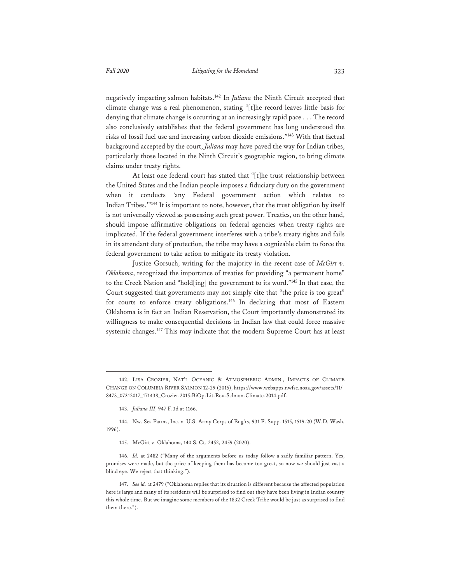negatively impacting salmon habitats.142 In *Juliana* the Ninth Circuit accepted that climate change was a real phenomenon, stating "[t]he record leaves little basis for denying that climate change is occurring at an increasingly rapid pace . . . The record also conclusively establishes that the federal government has long understood the risks of fossil fuel use and increasing carbon dioxide emissions."143 With that factual background accepted by the court, *Juliana* may have paved the way for Indian tribes, particularly those located in the Ninth Circuit's geographic region, to bring climate claims under treaty rights.

At least one federal court has stated that "[t]he trust relationship between the United States and the Indian people imposes a fiduciary duty on the government when it conducts 'any Federal government action which relates to Indian Tribes.'"<sup>144</sup> It is important to note, however, that the trust obligation by itself is not universally viewed as possessing such great power. Treaties, on the other hand, should impose affirmative obligations on federal agencies when treaty rights are implicated. If the federal government interferes with a tribe's treaty rights and fails in its attendant duty of protection, the tribe may have a cognizable claim to force the federal government to take action to mitigate its treaty violation.

Justice Gorsuch, writing for the majority in the recent case of *McGirt v. Oklahoma*, recognized the importance of treaties for providing "a permanent home" to the Creek Nation and "hold[ing] the government to its word."145 In that case, the Court suggested that governments may not simply cite that "the price is too great" for courts to enforce treaty obligations.<sup>146</sup> In declaring that most of Eastern Oklahoma is in fact an Indian Reservation, the Court importantly demonstrated its willingness to make consequential decisions in Indian law that could force massive systemic changes.147 This may indicate that the modern Supreme Court has at least

<sup>142.</sup> LISA CROZIER, NAT'L OCEANIC & ATMOSPHERIC ADMIN., IMPACTS OF CLIMATE CHANGE ON COLUMBIA RIVER SALMON 12-29 (2015), https://www.webapps.nwfsc.noaa.gov/assets/11/ 8473\_07312017\_171438\_Crozier.2015-BiOp-Lit-Rev-Salmon-Climate-2014.pdf.

<sup>143.</sup> *Juliana III*, 947 F.3d at 1166.

<sup>144.</sup> Nw. Sea Farms, Inc. v. U.S. Army Corps of Eng'rs, 931 F. Supp. 1515, 1519-20 (W.D. Wash. 1996).

<sup>145.</sup> McGirt v. Oklahoma, 140 S. Ct. 2452, 2459 (2020).

<sup>146.</sup> *Id.* at 2482 ("Many of the arguments before us today follow a sadly familiar pattern. Yes, promises were made, but the price of keeping them has become too great, so now we should just cast a blind eye. We reject that thinking.").

<sup>147.</sup> *See id.* at 2479 ("Oklahoma replies that its situation is different because the affected population here is large and many of its residents will be surprised to find out they have been living in Indian country this whole time. But we imagine some members of the 1832 Creek Tribe would be just as surprised to find them there.").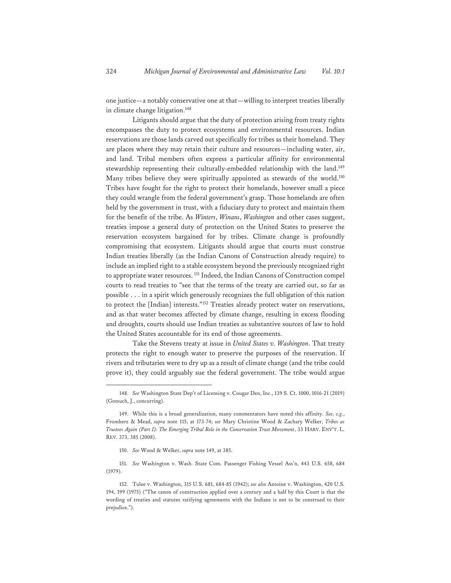one justice—a notably conservative one at that—willing to interpret treaties liberally in climate change litigation.<sup>148</sup>

Litigants should argue that the duty of protection arising from treaty rights encompasses the duty to protect ecosystems and environmental resources. Indian reservations are those lands carved out specifically for tribes as their homeland. They are places where they may retain their culture and resources—including water, air, and land. Tribal members often express a particular affinity for environmental stewardship representing their culturally-embedded relationship with the land.149 Many tribes believe they were spiritually appointed as stewards of the world.<sup>150</sup> Tribes have fought for the right to protect their homelands, however small a piece they could wrangle from the federal government's grasp. Those homelands are often held by the government in trust, with a fiduciary duty to protect and maintain them for the benefit of the tribe. As *Winters*, *Winans*, *Washington* and other cases suggest, treaties impose a general duty of protection on the United States to preserve the reservation ecosystem bargained for by tribes. Climate change is profoundly compromising that ecosystem. Litigants should argue that courts must construe Indian treaties liberally (as the Indian Canons of Construction already require) to include an implied right to a stable ecosystem beyond the previously recognized right to appropriate water resources. 151 Indeed, the Indian Canons of Construction compel courts to read treaties to "see that the terms of the treaty are carried out, so far as possible . . . in a spirit which generously recognizes the full obligation of this nation to protect the [Indian] interests."152 Treaties already protect water on reservations, and as that water becomes affected by climate change, resulting in excess flooding and droughts, courts should use Indian treaties as substantive sources of law to hold the United States accountable for its end of those agreements.

Take the Stevens treaty at issue in *United States v. Washington*. That treaty protects the right to enough water to preserve the purposes of the reservation. If rivers and tributaries were to dry up as a result of climate change (and the tribe could prove it), they could arguably sue the federal government. The tribe would argue

<sup>148.</sup> *See* Washington State Dep't of Licensing v. Cougar Den, Inc., 139 S. Ct. 1000, 1016-21 (2019) (Gorsuch, J., concurring).

<sup>149.</sup> While this is a broad generalization, many commentators have noted this affinity. *See, e.g.*, Fromherz & Mead, *supra* note 115, at 173-74; *see* Mary Christine Wood & Zachary Welker, *Tribes as Trustees Again (Part I): The Emerging Tribal Role in the Conservation Trust Movement*, 33 HARV. ENV'T. L. REV. 373, 385 (2008).

<sup>150.</sup> *See* Wood & Welker, *supra* note 149, at 385.

<sup>151.</sup> *See* Washington v. Wash. State Com. Passenger Fishing Vessel Ass'n, 443 U.S. 658, 684 (1979).

<sup>152.</sup> Tulee v. Washington, 315 U.S. 681, 684-85 (1942); *see also* Antoine v. Washington, 420 U.S. 194, 199 (1975) ("The canon of construction applied over a century and a half by this Court is that the wording of treaties and statutes ratifying agreements with the Indians is not to be construed to their prejudice.").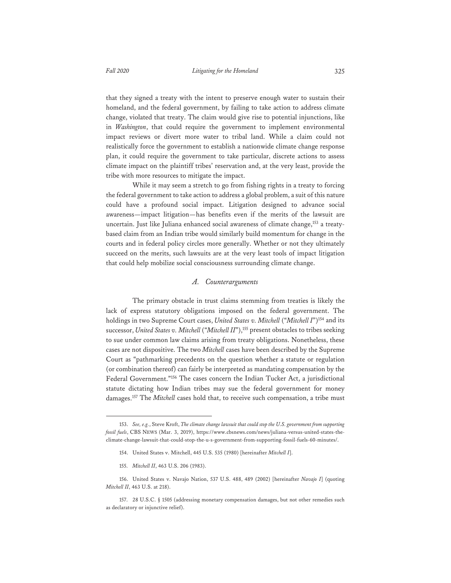that they signed a treaty with the intent to preserve enough water to sustain their homeland, and the federal government, by failing to take action to address climate change, violated that treaty. The claim would give rise to potential injunctions, like in *Washington*, that could require the government to implement environmental impact reviews or divert more water to tribal land. While a claim could not realistically force the government to establish a nationwide climate change response plan, it could require the government to take particular, discrete actions to assess climate impact on the plaintiff tribes' reservation and, at the very least, provide the tribe with more resources to mitigate the impact.

While it may seem a stretch to go from fishing rights in a treaty to forcing the federal government to take action to address a global problem, a suit of this nature could have a profound social impact. Litigation designed to advance social awareness—impact litigation—has benefits even if the merits of the lawsuit are uncertain. Just like Juliana enhanced social awareness of climate change,<sup>153</sup> a treatybased claim from an Indian tribe would similarly build momentum for change in the courts and in federal policy circles more generally. Whether or not they ultimately succeed on the merits, such lawsuits are at the very least tools of impact litigation that could help mobilize social consciousness surrounding climate change.

### *A. Counterarguments*

The primary obstacle in trust claims stemming from treaties is likely the lack of express statutory obligations imposed on the federal government. The holdings in two Supreme Court cases, *United States v. Mitchell* ("Mitchell I")<sup>154</sup> and its successor, *United States v. Mitchell* ("Mitchell II"),<sup>155</sup> present obstacles to tribes seeking to sue under common law claims arising from treaty obligations. Nonetheless, these cases are not dispositive. The two *Mitchell* cases have been described by the Supreme Court as "pathmarking precedents on the question whether a statute or regulation (or combination thereof) can fairly be interpreted as mandating compensation by the Federal Government."156 The cases concern the Indian Tucker Act, a jurisdictional statute dictating how Indian tribes may sue the federal government for money damages.157 The *Mitchell* cases hold that, to receive such compensation, a tribe must

<sup>153.</sup> *See, e.g.*, Steve Kroft, *The climate change lawsuit that could stop the U.S. government from supporting fossil fuels*, CBS NEWS (Mar. 3, 2019), https://www.cbsnews.com/news/juliana-versus-united-states-theclimate-change-lawsuit-that-could-stop-the-u-s-government-from-supporting-fossil-fuels-60-minutes/.

<sup>154.</sup> United States v. Mitchell, 445 U.S. 535 (1980) [hereinafter *Mitchell I*].

<sup>155.</sup> *Mitchell II*, 463 U.S. 206 (1983).

<sup>156.</sup> United States v. Navajo Nation, 537 U.S. 488, 489 (2002) [hereinafter *Navajo I*] (quoting *Mitchell II*, 463 U.S. at 218).

<sup>157. 28</sup> U.S.C. § 1505 (addressing monetary compensation damages, but not other remedies such as declaratory or injunctive relief).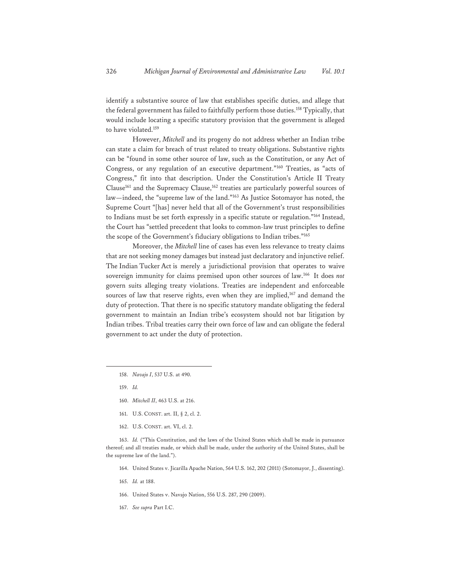identify a substantive source of law that establishes specific duties, and allege that the federal government has failed to faithfully perform those duties.158 Typically, that would include locating a specific statutory provision that the government is alleged to have violated.159

However, *Mitchell* and its progeny do not address whether an Indian tribe can state a claim for breach of trust related to treaty obligations. Substantive rights can be "found in some other source of law, such as the Constitution, or any Act of Congress, or any regulation of an executive department."160 Treaties, as "acts of Congress," fit into that description. Under the Constitution's Article II Treaty Clause<sup>161</sup> and the Supremacy Clause,<sup>162</sup> treaties are particularly powerful sources of law—indeed, the "supreme law of the land."163 As Justice Sotomayor has noted, the Supreme Court "[has] never held that all of the Government's trust responsibilities to Indians must be set forth expressly in a specific statute or regulation."164 Instead, the Court has "settled precedent that looks to common-law trust principles to define the scope of the Government's fiduciary obligations to Indian tribes."165

Moreover, the *Mitchell* line of cases has even less relevance to treaty claims that are not seeking money damages but instead just declaratory and injunctive relief. The Indian Tucker Act is merely a jurisdictional provision that operates to waive sovereign immunity for claims premised upon other sources of law.166 It does *not* govern suits alleging treaty violations. Treaties are independent and enforceable sources of law that reserve rights, even when they are implied,<sup>167</sup> and demand the duty of protection. That there is no specific statutory mandate obligating the federal government to maintain an Indian tribe's ecosystem should not bar litigation by Indian tribes. Tribal treaties carry their own force of law and can obligate the federal government to act under the duty of protection.

- 158. *Navajo I*, 537 U.S. at 490.
- 159. *Id.*
- 160. *Mitchell II*, 463 U.S. at 216.
- 161. U.S. CONST. art. II, § 2, cl. 2.
- 162. U.S. CONST. art. VI, cl. 2.

163. *Id.* ("This Constitution, and the laws of the United States which shall be made in pursuance thereof; and all treaties made, or which shall be made, under the authority of the United States, shall be the supreme law of the land.").

- 164. United States v. Jicarilla Apache Nation, 564 U.S. 162, 202 (2011) (Sotomayor, J., dissenting).
- 165. *Id.* at 188.
- 166. United States v. Navajo Nation, 556 U.S. 287, 290 (2009).
- 167. *See supra* Part I.C.